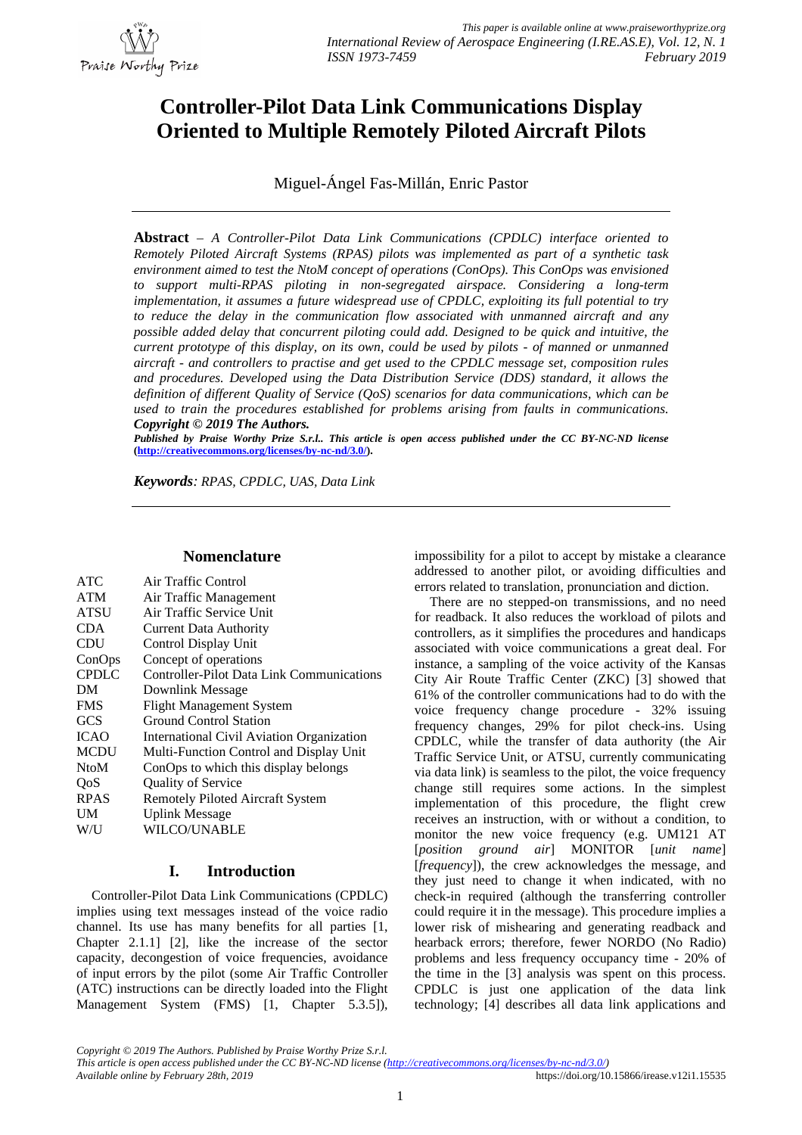

# **Controller-Pilot Data Link Communications Display Oriented to Multiple Remotely Piloted Aircraft Pilots**

Miguel-Ángel Fas-Millán, Enric Pastor

**Abstract** – *A Controller-Pilot Data Link Communications (CPDLC) interface oriented to Remotely Piloted Aircraft Systems (RPAS) pilots was implemented as part of a synthetic task environment aimed to test the NtoM concept of operations (ConOps). This ConOps was envisioned to support multi-RPAS piloting in non-segregated airspace. Considering a long-term implementation, it assumes a future widespread use of CPDLC, exploiting its full potential to try to reduce the delay in the communication flow associated with unmanned aircraft and any possible added delay that concurrent piloting could add. Designed to be quick and intuitive, the current prototype of this display, on its own, could be used by pilots - of manned or unmanned aircraft - and controllers to practise and get used to the CPDLC message set, composition rules and procedures. Developed using the Data Distribution Service (DDS) standard, it allows the definition of different Quality of Service (QoS) scenarios for data communications, which can be used to train the procedures established for problems arising from faults in communications. Copyright © 2019 The Authors.*

*Published by Praise Worthy Prize S.r.l.. This article is open access published under the CC BY-NC-ND license* **([http://creativecommons.org/licenses/by-nc-nd/3.0/\).](http://creativecommons.org/licenses/by-nc-nd/3.0/).)**

*Keywords: RPAS, CPDLC, UAS, Data Link*

## **Nomenclature**

| <b>ATC</b>   | Air Traffic Control                              |
|--------------|--------------------------------------------------|
|              |                                                  |
| <b>ATM</b>   | Air Traffic Management                           |
| <b>ATSU</b>  | Air Traffic Service Unit                         |
| <b>CDA</b>   | <b>Current Data Authority</b>                    |
| <b>CDU</b>   | Control Display Unit                             |
| ConOps       | Concept of operations                            |
| <b>CPDLC</b> | <b>Controller-Pilot Data Link Communications</b> |
| DM           | Downlink Message                                 |
| <b>FMS</b>   | <b>Flight Management System</b>                  |
| <b>GCS</b>   | Ground Control Station                           |
| <b>ICAO</b>  | International Civil Aviation Organization        |
| <b>MCDU</b>  | Multi-Function Control and Display Unit          |
| <b>NtoM</b>  | ConOps to which this display belongs             |
| OoS          | <b>Quality of Service</b>                        |
| <b>RPAS</b>  | <b>Remotely Piloted Aircraft System</b>          |
| <b>UM</b>    | <b>Uplink Message</b>                            |
| W/U          | WILCO/UNABLE                                     |

# **I. Introduction**

Controller-Pilot Data Link Communications (CPDLC) implies using text messages instead of the voice radio channel. Its use has many benefits for all parties [1, Chapter 2.1.1] [2], like the increase of the sector capacity, decongestion of voice frequencies, avoidance of input errors by the pilot (some Air Traffic Controller (ATC) instructions can be directly loaded into the Flight Management System (FMS) [1, Chapter 5.3.5]), impossibility for a pilot to accept by mistake a clearance addressed to another pilot, or avoiding difficulties and errors related to translation, pronunciation and diction.

There are no stepped-on transmissions, and no need for readback. It also reduces the workload of pilots and controllers, as it simplifies the procedures and handicaps associated with voice communications a great deal. For instance, a sampling of the voice activity of the Kansas City Air Route Traffic Center (ZKC) [3] showed that 61% of the controller communications had to do with the voice frequency change procedure - 32% issuing frequency changes, 29% for pilot check-ins. Using CPDLC, while the transfer of data authority (the Air Traffic Service Unit, or ATSU, currently communicating via data link) is seamless to the pilot, the voice frequency change still requires some actions. In the simplest implementation of this procedure, the flight crew receives an instruction, with or without a condition, to monitor the new voice frequency (e.g. UM121 AT [*position ground air*] MONITOR [*unit name*] [*frequency*]), the crew acknowledges the message, and they just need to change it when indicated, with no check-in required (although the transferring controller could require it in the message). This procedure implies a lower risk of mishearing and generating readback and hearback errors; therefore, fewer NORDO (No Radio) problems and less frequency occupancy time - 20% of the time in the [3] analysis was spent on this process. CPDLC is just one application of the data link technology; [4] describes all data link applications and

*Copyright © 2019 The Authors. Published by Praise Worthy Prize S.r.l.*

*This article is open access published under the CC BY-NC-ND license [\(http://creativecommons.org/licenses/by-nc-nd/3.0/\)](http://creativecommons.org/licenses/by-nc-nd/3.0/))*<br>Available online by February 28th, 2019 *Available online by February 28th, 2019* <https://doi.org/10.15866/irease.v12i1.15535>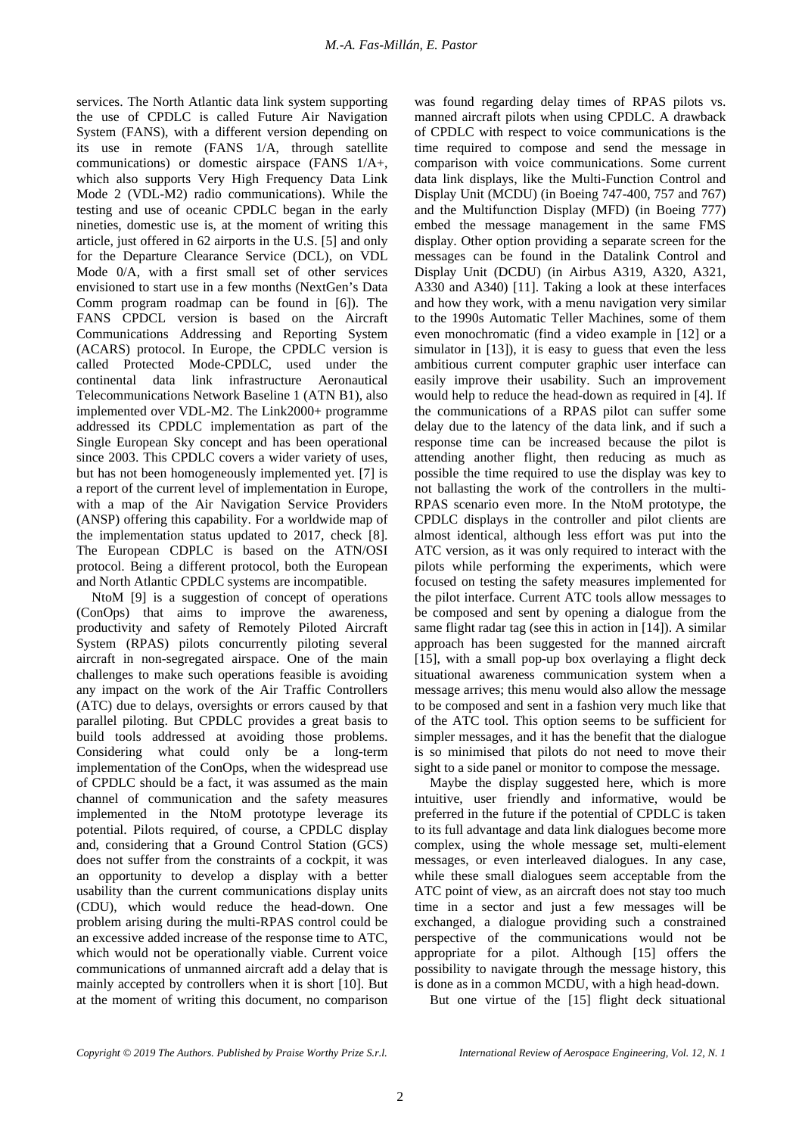services. The North Atlantic data link system supporting the use of CPDLC is called Future Air Navigation System (FANS), with a different version depending on its use in remote (FANS 1/A, through satellite communications) or domestic airspace (FANS 1/A+, which also supports Very High Frequency Data Link Mode 2 (VDL-M2) radio communications). While the testing and use of oceanic CPDLC began in the early nineties, domestic use is, at the moment of writing this article, just offered in 62 airports in the U.S. [5] and only for the Departure Clearance Service (DCL), on VDL Mode 0/A, with a first small set of other services envisioned to start use in a few months (NextGen's Data Comm program roadmap can be found in [6]). The FANS CPDCL version is based on the Aircraft Communications Addressing and Reporting System (ACARS) protocol. In Europe, the CPDLC version is called Protected Mode-CPDLC, used under the continental data link infrastructure Aeronautical Telecommunications Network Baseline 1 (ATN B1), also implemented over VDL-M2. The Link2000+ programme addressed its CPDLC implementation as part of the Single European Sky concept and has been operational since 2003. This CPDLC covers a wider variety of uses, but has not been homogeneously implemented yet. [7] is a report of the current level of implementation in Europe, with a map of the Air Navigation Service Providers (ANSP) offering this capability. For a worldwide map of the implementation status updated to 2017, check [8]. The European CDPLC is based on the ATN/OSI protocol. Being a different protocol, both the European and North Atlantic CPDLC systems are incompatible.

NtoM [9] is a suggestion of concept of operations (ConOps) that aims to improve the awareness, productivity and safety of Remotely Piloted Aircraft System (RPAS) pilots concurrently piloting several aircraft in non-segregated airspace. One of the main challenges to make such operations feasible is avoiding any impact on the work of the Air Traffic Controllers (ATC) due to delays, oversights or errors caused by that parallel piloting. But CPDLC provides a great basis to build tools addressed at avoiding those problems. Considering what could only be a long-term implementation of the ConOps, when the widespread use of CPDLC should be a fact, it was assumed as the main channel of communication and the safety measures implemented in the NtoM prototype leverage its potential. Pilots required, of course, a CPDLC display and, considering that a Ground Control Station (GCS) does not suffer from the constraints of a cockpit, it was an opportunity to develop a display with a better usability than the current communications display units (CDU), which would reduce the head-down. One problem arising during the multi-RPAS control could be an excessive added increase of the response time to ATC, which would not be operationally viable. Current voice communications of unmanned aircraft add a delay that is mainly accepted by controllers when it is short [10]. But at the moment of writing this document, no comparison

was found regarding delay times of RPAS pilots vs. manned aircraft pilots when using CPDLC. A drawback of CPDLC with respect to voice communications is the time required to compose and send the message in comparison with voice communications. Some current data link displays, like the Multi-Function Control and Display Unit (MCDU) (in Boeing 747-400, 757 and 767) and the Multifunction Display (MFD) (in Boeing 777) embed the message management in the same FMS display. Other option providing a separate screen for the messages can be found in the Datalink Control and Display Unit (DCDU) (in Airbus A319, A320, A321, A330 and A340) [11]. Taking a look at these interfaces and how they work, with a menu navigation very similar to the 1990s Automatic Teller Machines, some of them even monochromatic (find a video example in [12] or a simulator in [13]), it is easy to guess that even the less ambitious current computer graphic user interface can easily improve their usability. Such an improvement would help to reduce the head-down as required in [4]. If the communications of a RPAS pilot can suffer some delay due to the latency of the data link, and if such a response time can be increased because the pilot is attending another flight, then reducing as much as possible the time required to use the display was key to not ballasting the work of the controllers in the multi-RPAS scenario even more. In the NtoM prototype, the CPDLC displays in the controller and pilot clients are almost identical, although less effort was put into the ATC version, as it was only required to interact with the pilots while performing the experiments, which were focused on testing the safety measures implemented for the pilot interface. Current ATC tools allow messages to be composed and sent by opening a dialogue from the same flight radar tag (see this in action in [14]). A similar approach has been suggested for the manned aircraft [15], with a small pop-up box overlaying a flight deck situational awareness communication system when a message arrives; this menu would also allow the message to be composed and sent in a fashion very much like that of the ATC tool. This option seems to be sufficient for simpler messages, and it has the benefit that the dialogue is so minimised that pilots do not need to move their sight to a side panel or monitor to compose the message.

Maybe the display suggested here, which is more intuitive, user friendly and informative, would be preferred in the future if the potential of CPDLC is taken to its full advantage and data link dialogues become more complex, using the whole message set, multi-element messages, or even interleaved dialogues. In any case, while these small dialogues seem acceptable from the ATC point of view, as an aircraft does not stay too much time in a sector and just a few messages will be exchanged, a dialogue providing such a constrained perspective of the communications would not be appropriate for a pilot. Although [15] offers the possibility to navigate through the message history, this is done as in a common MCDU, with a high head-down.

But one virtue of the [15] flight deck situational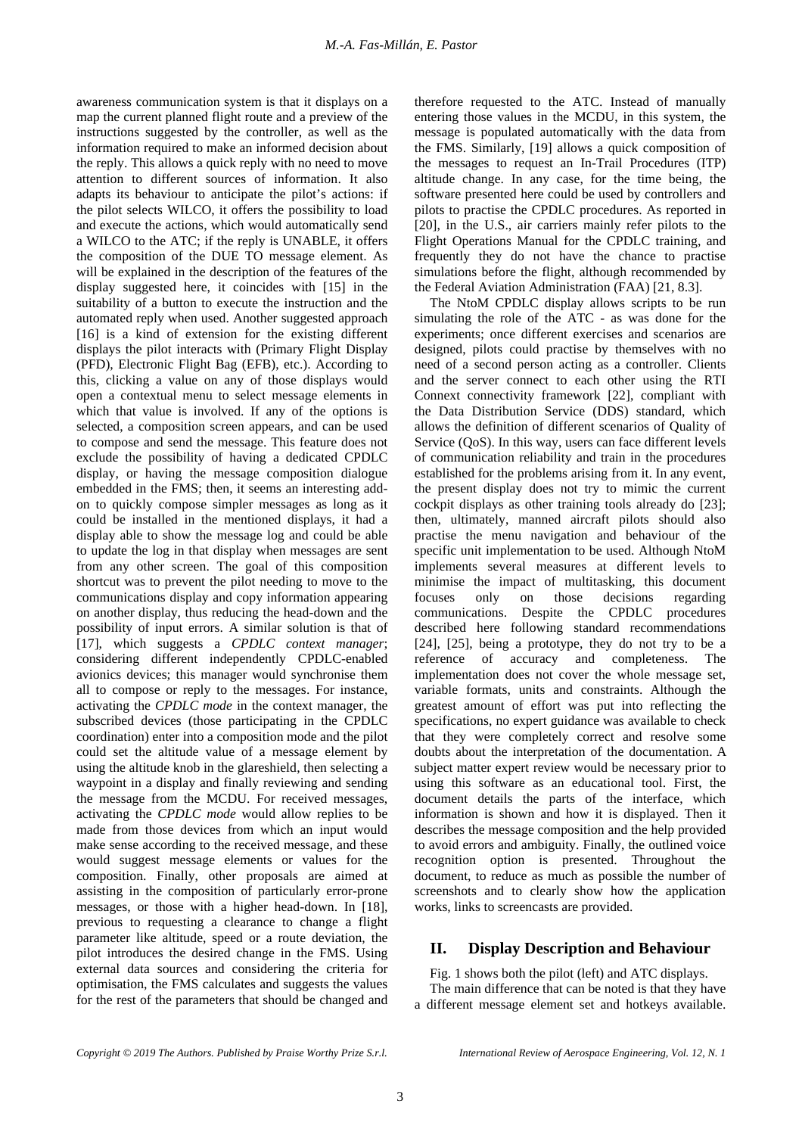awareness communication system is that it displays on a map the current planned flight route and a preview of the instructions suggested by the controller, as well as the information required to make an informed decision about the reply. This allows a quick reply with no need to move attention to different sources of information. It also adapts its behaviour to anticipate the pilot's actions: if the pilot selects WILCO, it offers the possibility to load and execute the actions, which would automatically send a WILCO to the ATC; if the reply is UNABLE, it offers the composition of the DUE TO message element. As will be explained in the description of the features of the display suggested here, it coincides with [15] in the suitability of a button to execute the instruction and the automated reply when used. Another suggested approach [16] is a kind of extension for the existing different displays the pilot interacts with (Primary Flight Display (PFD), Electronic Flight Bag (EFB), etc.). According to this, clicking a value on any of those displays would open a contextual menu to select message elements in which that value is involved. If any of the options is selected, a composition screen appears, and can be used to compose and send the message. This feature does not exclude the possibility of having a dedicated CPDLC display, or having the message composition dialogue embedded in the FMS; then, it seems an interesting addon to quickly compose simpler messages as long as it could be installed in the mentioned displays, it had a display able to show the message log and could be able to update the log in that display when messages are sent from any other screen. The goal of this composition shortcut was to prevent the pilot needing to move to the communications display and copy information appearing on another display, thus reducing the head-down and the possibility of input errors. A similar solution is that of [17], which suggests a *CPDLC context manager*; considering different independently CPDLC-enabled avionics devices; this manager would synchronise them all to compose or reply to the messages. For instance, activating the *CPDLC mode* in the context manager, the subscribed devices (those participating in the CPDLC coordination) enter into a composition mode and the pilot could set the altitude value of a message element by using the altitude knob in the glareshield, then selecting a waypoint in a display and finally reviewing and sending the message from the MCDU. For received messages, activating the *CPDLC mode* would allow replies to be made from those devices from which an input would make sense according to the received message, and these would suggest message elements or values for the composition. Finally, other proposals are aimed at assisting in the composition of particularly error-prone messages, or those with a higher head-down. In [18], previous to requesting a clearance to change a flight parameter like altitude, speed or a route deviation, the pilot introduces the desired change in the FMS. Using external data sources and considering the criteria for optimisation, the FMS calculates and suggests the values for the rest of the parameters that should be changed and

therefore requested to the ATC. Instead of manually entering those values in the MCDU, in this system, the message is populated automatically with the data from the FMS. Similarly, [19] allows a quick composition of the messages to request an In-Trail Procedures (ITP) altitude change. In any case, for the time being, the software presented here could be used by controllers and pilots to practise the CPDLC procedures. As reported in [20], in the U.S., air carriers mainly refer pilots to the Flight Operations Manual for the CPDLC training, and frequently they do not have the chance to practise simulations before the flight, although recommended by the Federal Aviation Administration (FAA) [21, 8.3].

The NtoM CPDLC display allows scripts to be run simulating the role of the ATC - as was done for the experiments; once different exercises and scenarios are designed, pilots could practise by themselves with no need of a second person acting as a controller. Clients and the server connect to each other using the RTI Connext connectivity framework [22], compliant with the Data Distribution Service (DDS) standard, which allows the definition of different scenarios of Quality of Service (QoS). In this way, users can face different levels of communication reliability and train in the procedures established for the problems arising from it. In any event, the present display does not try to mimic the current cockpit displays as other training tools already do [23]; then, ultimately, manned aircraft pilots should also practise the menu navigation and behaviour of the specific unit implementation to be used. Although NtoM implements several measures at different levels to minimise the impact of multitasking, this document focuses only on those decisions regarding communications. Despite the CPDLC procedures described here following standard recommendations [24], [25], being a prototype, they do not try to be a reference of accuracy and completeness. The implementation does not cover the whole message set, variable formats, units and constraints. Although the greatest amount of effort was put into reflecting the specifications, no expert guidance was available to check that they were completely correct and resolve some doubts about the interpretation of the documentation. A subject matter expert review would be necessary prior to using this software as an educational tool. First, the document details the parts of the interface, which information is shown and how it is displayed. Then it describes the message composition and the help provided to avoid errors and ambiguity. Finally, the outlined voice recognition option is presented. Throughout the document, to reduce as much as possible the number of screenshots and to clearly show how the application works, links to screencasts are provided.

# **II. Display Description and Behaviour**

Fig. 1 shows both the pilot (left) and ATC displays. The main difference that can be noted is that they have a different message element set and hotkeys available.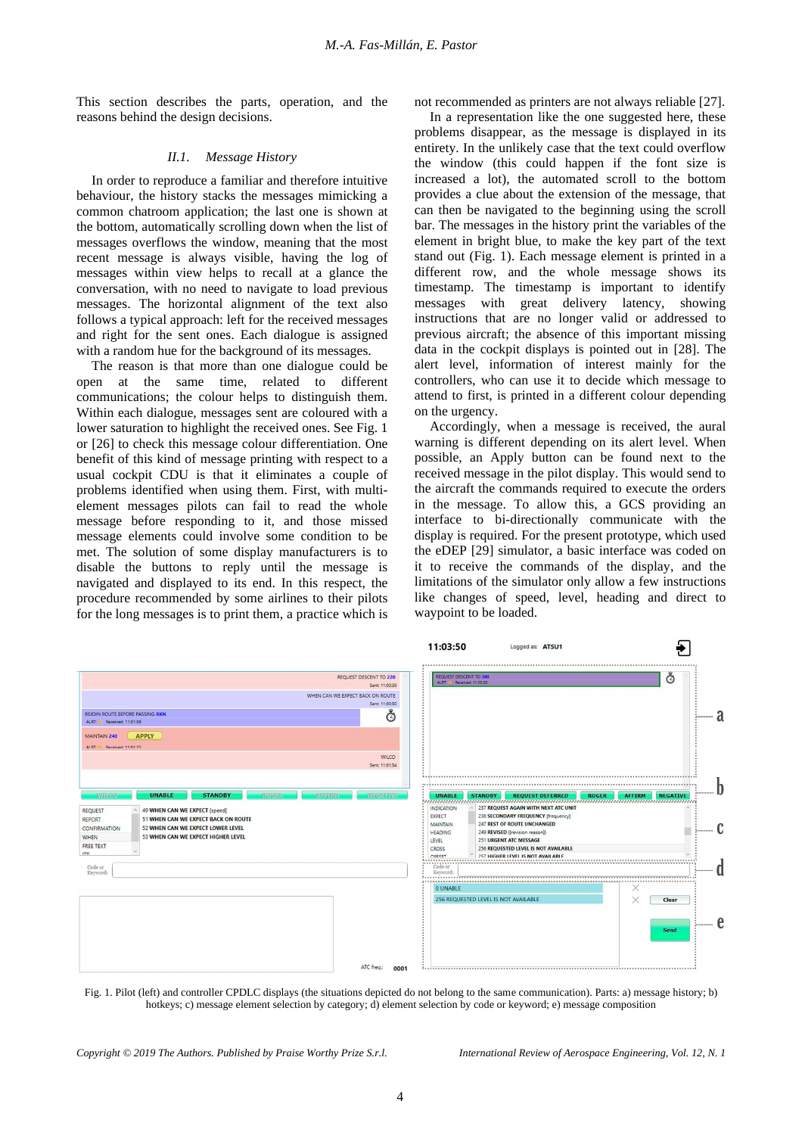This section describes the parts, operation, and the reasons behind the design decisions.

#### *II.1. Message History*

In order to reproduce a familiar and therefore intuitive behaviour, the history stacks the messages mimicking a common chatroom application; the last one is shown at the bottom, automatically scrolling down when the list of messages overflows the window, meaning that the most recent message is always visible, having the log of messages within view helps to recall at a glance the conversation, with no need to navigate to load previous messages. The horizontal alignment of the text also follows a typical approach: left for the received messages and right for the sent ones. Each dialogue is assigned with a random hue for the background of its messages.

The reason is that more than one dialogue could be open at the same time, related to different communications; the colour helps to distinguish them. Within each dialogue, messages sent are coloured with a lower saturation to highlight the received ones. See Fig. 1 or [26] to check this message colour differentiation. One benefit of this kind of message printing with respect to a usual cockpit CDU is that it eliminates a couple of problems identified when using them. First, with multielement messages pilots can fail to read the whole message before responding to it, and those missed message elements could involve some condition to be met. The solution of some display manufacturers is to disable the buttons to reply until the message is navigated and displayed to its end. In this respect, the procedure recommended by some airlines to their pilots for the long messages is to print them, a practice which is not recommended as printers are not always reliable [27].

In a representation like the one suggested here, these problems disappear, as the message is displayed in its entirety. In the unlikely case that the text could overflow the window (this could happen if the font size is increased a lot), the automated scroll to the bottom provides a clue about the extension of the message, that can then be navigated to the beginning using the scroll bar. The messages in the history print the variables of the element in bright blue, to make the key part of the text stand out (Fig. 1). Each message element is printed in a different row, and the whole message shows its timestamp. The timestamp is important to identify messages with great delivery latency, showing instructions that are no longer valid or addressed to previous aircraft; the absence of this important missing data in the cockpit displays is pointed out in [28]. The alert level, information of interest mainly for the controllers, who can use it to decide which message to attend to first, is printed in a different colour depending on the urgency.

Accordingly, when a message is received, the aural warning is different depending on its alert level. When possible, an Apply button can be found next to the received message in the pilot display. This would send to the aircraft the commands required to execute the orders in the message. To allow this, a GCS providing an interface to bi-directionally communicate with the display is required. For the present prototype, which used the eDEP [29] simulator, a basic interface was coded on it to receive the commands of the display, and the limitations of the simulator only allow a few instructions like changes of speed, level, heading and direct to waypoint to be loaded.



Fig. 1. Pilot (left) and controller CPDLC displays (the situations depicted do not belong to the same communication). Parts: a) message history; b) hotkeys; c) message element selection by category; d) element selection by code or keyword; e) message composition

*Copyright © 2019 The Authors. Published by Praise Worthy Prize S.r.l. International Review of Aerospace Engineering, Vol. 12, N. 1*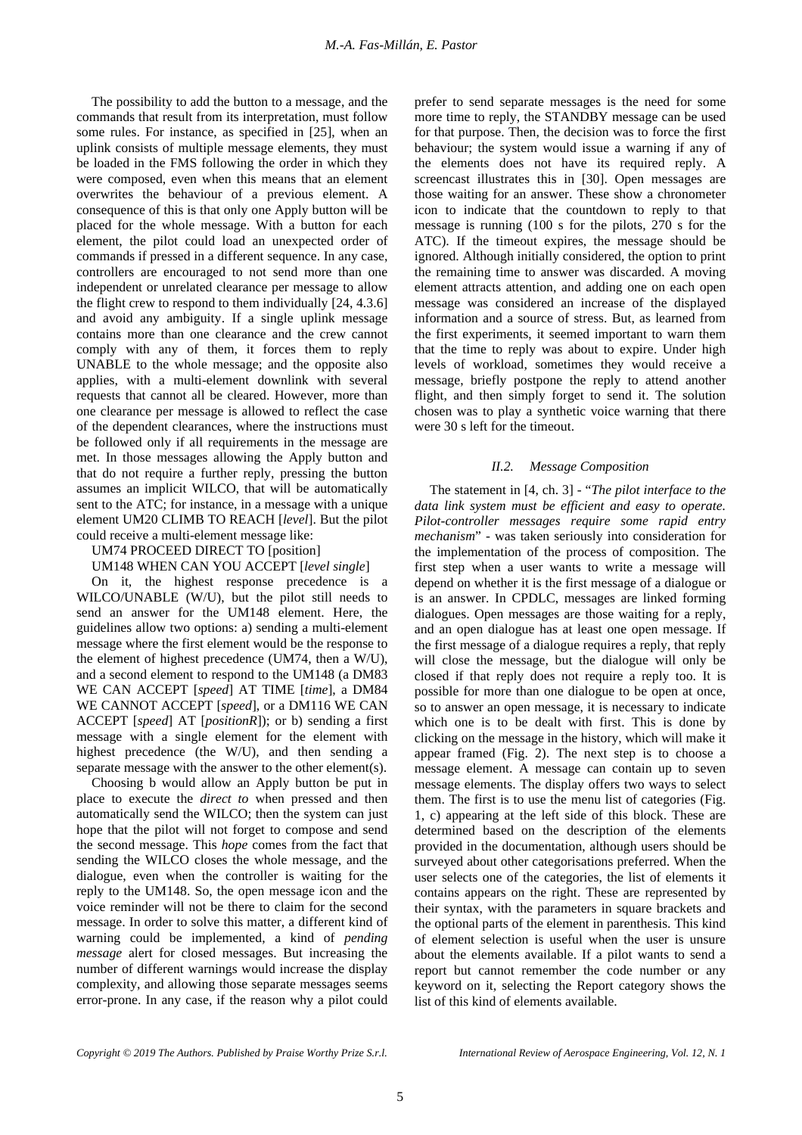The possibility to add the button to a message, and the commands that result from its interpretation, must follow some rules. For instance, as specified in [25], when an uplink consists of multiple message elements, they must be loaded in the FMS following the order in which they were composed, even when this means that an element overwrites the behaviour of a previous element. A consequence of this is that only one Apply button will be placed for the whole message. With a button for each element, the pilot could load an unexpected order of commands if pressed in a different sequence. In any case, controllers are encouraged to not send more than one independent or unrelated clearance per message to allow the flight crew to respond to them individually [24, 4.3.6] and avoid any ambiguity. If a single uplink message contains more than one clearance and the crew cannot comply with any of them, it forces them to reply UNABLE to the whole message; and the opposite also applies, with a multi-element downlink with several requests that cannot all be cleared. However, more than one clearance per message is allowed to reflect the case of the dependent clearances, where the instructions must be followed only if all requirements in the message are met. In those messages allowing the Apply button and that do not require a further reply, pressing the button assumes an implicit WILCO, that will be automatically sent to the ATC; for instance, in a message with a unique element UM20 CLIMB TO REACH [*level*]. But the pilot could receive a multi-element message like:

UM74 PROCEED DIRECT TO [position]

UM148 WHEN CAN YOU ACCEPT [*level single*]

On it, the highest response precedence is a WILCO/UNABLE (W/U), but the pilot still needs to send an answer for the UM148 element. Here, the guidelines allow two options: a) sending a multi-element message where the first element would be the response to the element of highest precedence (UM74, then a W/U), and a second element to respond to the UM148 (a DM83 WE CAN ACCEPT [*speed*] AT TIME [*time*], a DM84 WE CANNOT ACCEPT [*speed*], or a DM116 WE CAN ACCEPT [*speed*] AT [*positionR*]); or b) sending a first message with a single element for the element with highest precedence (the W/U), and then sending a separate message with the answer to the other element(s).

Choosing b would allow an Apply button be put in place to execute the *direct to* when pressed and then automatically send the WILCO; then the system can just hope that the pilot will not forget to compose and send the second message. This *hope* comes from the fact that sending the WILCO closes the whole message, and the dialogue, even when the controller is waiting for the reply to the UM148. So, the open message icon and the voice reminder will not be there to claim for the second message. In order to solve this matter, a different kind of warning could be implemented, a kind of *pending message* alert for closed messages. But increasing the number of different warnings would increase the display complexity, and allowing those separate messages seems error-prone. In any case, if the reason why a pilot could

prefer to send separate messages is the need for some more time to reply, the STANDBY message can be used for that purpose. Then, the decision was to force the first behaviour; the system would issue a warning if any of the elements does not have its required reply. A screencast illustrates this in [30]. Open messages are those waiting for an answer. These show a chronometer icon to indicate that the countdown to reply to that message is running (100 s for the pilots, 270 s for the ATC). If the timeout expires, the message should be ignored. Although initially considered, the option to print the remaining time to answer was discarded. A moving element attracts attention, and adding one on each open message was considered an increase of the displayed information and a source of stress. But, as learned from the first experiments, it seemed important to warn them that the time to reply was about to expire. Under high levels of workload, sometimes they would receive a message, briefly postpone the reply to attend another flight, and then simply forget to send it. The solution chosen was to play a synthetic voice warning that there were 30 s left for the timeout.

#### *II.2. Message Composition*

The statement in [4, ch. 3] - "*The pilot interface to the data link system must be efficient and easy to operate. Pilot-controller messages require some rapid entry mechanism*" - was taken seriously into consideration for the implementation of the process of composition. The first step when a user wants to write a message will depend on whether it is the first message of a dialogue or is an answer. In CPDLC, messages are linked forming dialogues. Open messages are those waiting for a reply, and an open dialogue has at least one open message. If the first message of a dialogue requires a reply, that reply will close the message, but the dialogue will only be closed if that reply does not require a reply too. It is possible for more than one dialogue to be open at once, so to answer an open message, it is necessary to indicate which one is to be dealt with first. This is done by clicking on the message in the history, which will make it appear framed (Fig. 2). The next step is to choose a message element. A message can contain up to seven message elements. The display offers two ways to select them. The first is to use the menu list of categories (Fig. 1, c) appearing at the left side of this block. These are determined based on the description of the elements provided in the documentation, although users should be surveyed about other categorisations preferred. When the user selects one of the categories, the list of elements it contains appears on the right. These are represented by their syntax, with the parameters in square brackets and the optional parts of the element in parenthesis. This kind of element selection is useful when the user is unsure about the elements available. If a pilot wants to send a report but cannot remember the code number or any keyword on it, selecting the Report category shows the list of this kind of elements available.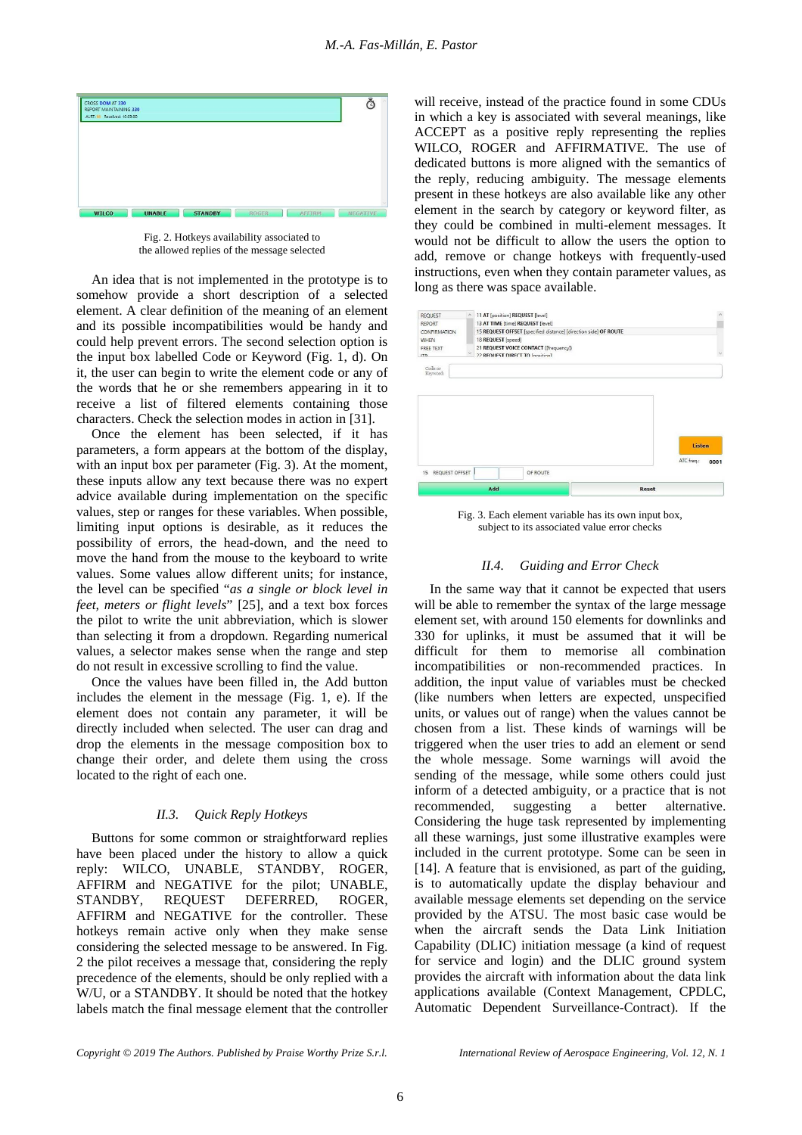

Fig. 2. Hotkeys availability associated to the allowed replies of the message selected

An idea that is not implemented in the prototype is to somehow provide a short description of a selected element. A clear definition of the meaning of an element and its possible incompatibilities would be handy and could help prevent errors. The second selection option is the input box labelled Code or Keyword (Fig. 1, d). On it, the user can begin to write the element code or any of the words that he or she remembers appearing in it to receive a list of filtered elements containing those characters. Check the selection modes in action in [31].

Once the element has been selected, if it has parameters, a form appears at the bottom of the display, with an input box per parameter (Fig. 3). At the moment, these inputs allow any text because there was no expert advice available during implementation on the specific values, step or ranges for these variables. When possible, limiting input options is desirable, as it reduces the possibility of errors, the head-down, and the need to move the hand from the mouse to the keyboard to write values. Some values allow different units; for instance, the level can be specified "*as a single or block level in feet, meters or flight levels*" [25], and a text box forces the pilot to write the unit abbreviation, which is slower than selecting it from a dropdown. Regarding numerical values, a selector makes sense when the range and step do not result in excessive scrolling to find the value.

Once the values have been filled in, the Add button includes the element in the message (Fig. 1, e). If the element does not contain any parameter, it will be directly included when selected. The user can drag and drop the elements in the message composition box to change their order, and delete them using the cross located to the right of each one.

#### *II.3. Quick Reply Hotkeys*

Buttons for some common or straightforward replies have been placed under the history to allow a quick reply: WILCO, UNABLE, STANDBY, ROGER, AFFIRM and NEGATIVE for the pilot; UNABLE, STANDBY, REQUEST DEFERRED, ROGER, AFFIRM and NEGATIVE for the controller. These hotkeys remain active only when they make sense considering the selected message to be answered. In Fig. 2 the pilot receives a message that, considering the reply precedence of the elements, should be only replied with a W/U, or a STANDBY. It should be noted that the hotkey labels match the final message element that the controller will receive, instead of the practice found in some CDUs in which a key is associated with several meanings, like ACCEPT as a positive reply representing the replies WILCO, ROGER and AFFIRMATIVE. The use of dedicated buttons is more aligned with the semantics of the reply, reducing ambiguity. The message elements present in these hotkeys are also available like any other element in the search by category or keyword filter, as they could be combined in multi-element messages. It would not be difficult to allow the users the option to add, remove or change hotkeys with frequently-used instructions, even when they contain parameter values, as long as there was space available.



Fig. 3. Each element variable has its own input box, subject to its associated value error checks

#### *II.4. Guiding and Error Check*

In the same way that it cannot be expected that users will be able to remember the syntax of the large message element set, with around 150 elements for downlinks and 330 for uplinks, it must be assumed that it will be difficult for them to memorise all combination incompatibilities or non-recommended practices. In addition, the input value of variables must be checked (like numbers when letters are expected, unspecified units, or values out of range) when the values cannot be chosen from a list. These kinds of warnings will be triggered when the user tries to add an element or send the whole message. Some warnings will avoid the sending of the message, while some others could just inform of a detected ambiguity, or a practice that is not recommended, suggesting a better alternative. Considering the huge task represented by implementing all these warnings, just some illustrative examples were included in the current prototype. Some can be seen in [14]. A feature that is envisioned, as part of the guiding, is to automatically update the display behaviour and available message elements set depending on the service provided by the ATSU. The most basic case would be when the aircraft sends the Data Link Initiation Capability (DLIC) initiation message (a kind of request for service and login) and the DLIC ground system provides the aircraft with information about the data link applications available (Context Management, CPDLC, Automatic Dependent Surveillance-Contract). If the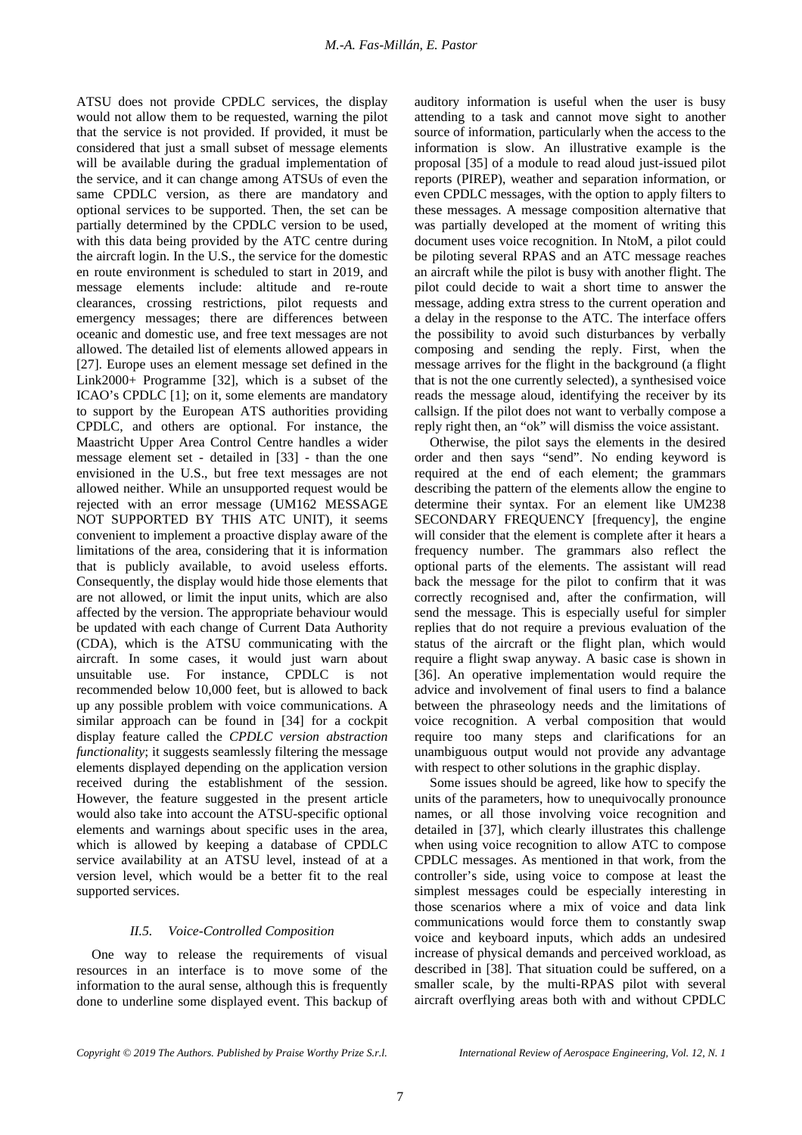ATSU does not provide CPDLC services, the display would not allow them to be requested, warning the pilot that the service is not provided. If provided, it must be considered that just a small subset of message elements will be available during the gradual implementation of the service, and it can change among ATSUs of even the same CPDLC version, as there are mandatory and optional services to be supported. Then, the set can be partially determined by the CPDLC version to be used, with this data being provided by the ATC centre during the aircraft login. In the U.S., the service for the domestic en route environment is scheduled to start in 2019, and message elements include: altitude and re-route clearances, crossing restrictions, pilot requests and emergency messages; there are differences between oceanic and domestic use, and free text messages are not allowed. The detailed list of elements allowed appears in [27]. Europe uses an element message set defined in the Link2000+ Programme [32], which is a subset of the ICAO's CPDLC [1]; on it, some elements are mandatory to support by the European ATS authorities providing CPDLC, and others are optional. For instance, the Maastricht Upper Area Control Centre handles a wider message element set - detailed in [33] - than the one envisioned in the U.S., but free text messages are not allowed neither. While an unsupported request would be rejected with an error message (UM162 MESSAGE NOT SUPPORTED BY THIS ATC UNIT), it seems convenient to implement a proactive display aware of the limitations of the area, considering that it is information that is publicly available, to avoid useless efforts. Consequently, the display would hide those elements that are not allowed, or limit the input units, which are also affected by the version. The appropriate behaviour would be updated with each change of Current Data Authority (CDA), which is the ATSU communicating with the aircraft. In some cases, it would just warn about unsuitable use. For instance, CPDLC is not recommended below 10,000 feet, but is allowed to back up any possible problem with voice communications. A similar approach can be found in [34] for a cockpit display feature called the *CPDLC version abstraction functionality*; it suggests seamlessly filtering the message elements displayed depending on the application version received during the establishment of the session. However, the feature suggested in the present article would also take into account the ATSU-specific optional elements and warnings about specific uses in the area, which is allowed by keeping a database of CPDLC service availability at an ATSU level, instead of at a version level, which would be a better fit to the real supported services.

#### *II.5. Voice-Controlled Composition*

One way to release the requirements of visual resources in an interface is to move some of the information to the aural sense, although this is frequently done to underline some displayed event. This backup of auditory information is useful when the user is busy attending to a task and cannot move sight to another source of information, particularly when the access to the information is slow. An illustrative example is the proposal [35] of a module to read aloud just-issued pilot reports (PIREP), weather and separation information, or even CPDLC messages, with the option to apply filters to these messages. A message composition alternative that was partially developed at the moment of writing this document uses voice recognition. In NtoM, a pilot could be piloting several RPAS and an ATC message reaches an aircraft while the pilot is busy with another flight. The pilot could decide to wait a short time to answer the message, adding extra stress to the current operation and a delay in the response to the ATC. The interface offers the possibility to avoid such disturbances by verbally composing and sending the reply. First, when the message arrives for the flight in the background (a flight that is not the one currently selected), a synthesised voice reads the message aloud, identifying the receiver by its callsign. If the pilot does not want to verbally compose a reply right then, an "ok" will dismiss the voice assistant.

Otherwise, the pilot says the elements in the desired order and then says "send". No ending keyword is required at the end of each element; the grammars describing the pattern of the elements allow the engine to determine their syntax. For an element like UM238 SECONDARY FREQUENCY [frequency], the engine will consider that the element is complete after it hears a frequency number. The grammars also reflect the optional parts of the elements. The assistant will read back the message for the pilot to confirm that it was correctly recognised and, after the confirmation, will send the message. This is especially useful for simpler replies that do not require a previous evaluation of the status of the aircraft or the flight plan, which would require a flight swap anyway. A basic case is shown in [36]. An operative implementation would require the advice and involvement of final users to find a balance between the phraseology needs and the limitations of voice recognition. A verbal composition that would require too many steps and clarifications for an unambiguous output would not provide any advantage with respect to other solutions in the graphic display.

Some issues should be agreed, like how to specify the units of the parameters, how to unequivocally pronounce names, or all those involving voice recognition and detailed in [37], which clearly illustrates this challenge when using voice recognition to allow ATC to compose CPDLC messages. As mentioned in that work, from the controller's side, using voice to compose at least the simplest messages could be especially interesting in those scenarios where a mix of voice and data link communications would force them to constantly swap voice and keyboard inputs, which adds an undesired increase of physical demands and perceived workload, as described in [38]. That situation could be suffered, on a smaller scale, by the multi-RPAS pilot with several aircraft overflying areas both with and without CPDLC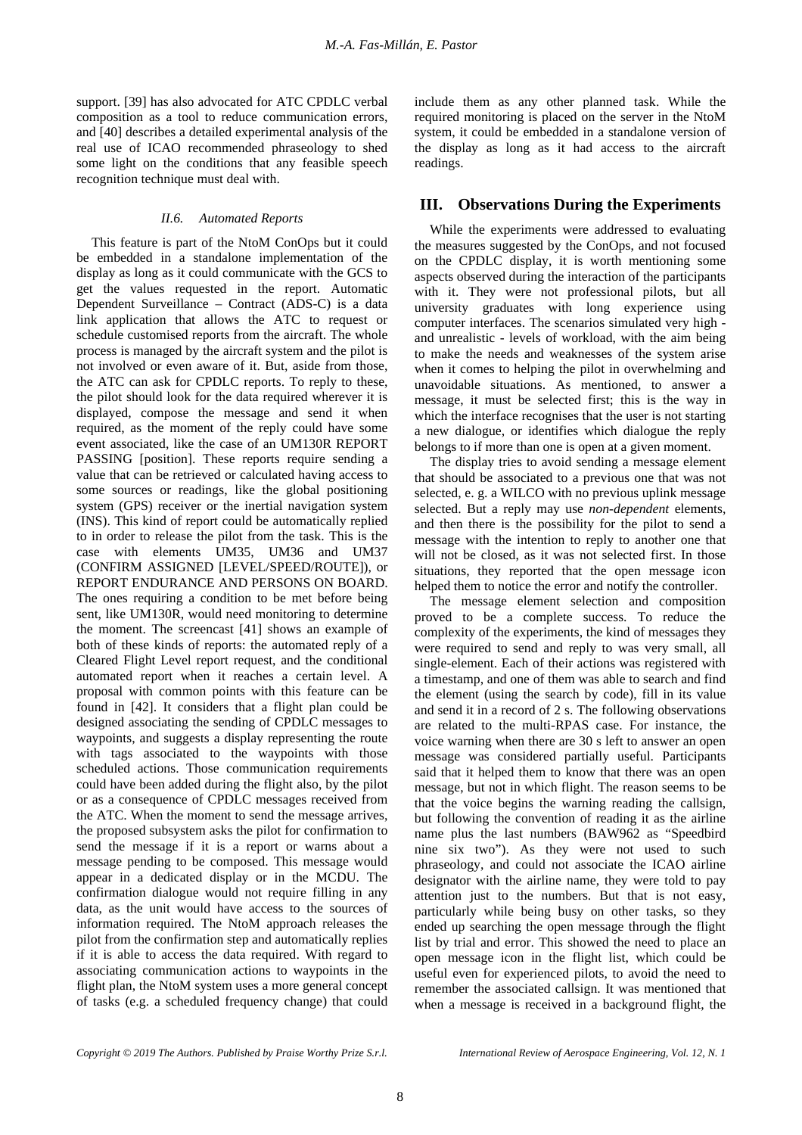support. [39] has also advocated for ATC CPDLC verbal composition as a tool to reduce communication errors, and [40] describes a detailed experimental analysis of the real use of ICAO recommended phraseology to shed some light on the conditions that any feasible speech recognition technique must deal with.

#### *II.6. Automated Reports*

This feature is part of the NtoM ConOps but it could be embedded in a standalone implementation of the display as long as it could communicate with the GCS to get the values requested in the report. Automatic Dependent Surveillance – Contract (ADS-C) is a data link application that allows the ATC to request or schedule customised reports from the aircraft. The whole process is managed by the aircraft system and the pilot is not involved or even aware of it. But, aside from those, the ATC can ask for CPDLC reports. To reply to these, the pilot should look for the data required wherever it is displayed, compose the message and send it when required, as the moment of the reply could have some event associated, like the case of an UM130R REPORT PASSING [position]. These reports require sending a value that can be retrieved or calculated having access to some sources or readings, like the global positioning system (GPS) receiver or the inertial navigation system (INS). This kind of report could be automatically replied to in order to release the pilot from the task. This is the case with elements UM35, UM36 and UM37 (CONFIRM ASSIGNED [LEVEL/SPEED/ROUTE]), or REPORT ENDURANCE AND PERSONS ON BOARD. The ones requiring a condition to be met before being sent, like UM130R, would need monitoring to determine the moment. The screencast [41] shows an example of both of these kinds of reports: the automated reply of a Cleared Flight Level report request, and the conditional automated report when it reaches a certain level. A proposal with common points with this feature can be found in [42]. It considers that a flight plan could be designed associating the sending of CPDLC messages to waypoints, and suggests a display representing the route with tags associated to the waypoints with those scheduled actions. Those communication requirements could have been added during the flight also, by the pilot or as a consequence of CPDLC messages received from the ATC. When the moment to send the message arrives, the proposed subsystem asks the pilot for confirmation to send the message if it is a report or warns about a message pending to be composed. This message would appear in a dedicated display or in the MCDU. The confirmation dialogue would not require filling in any data, as the unit would have access to the sources of information required. The NtoM approach releases the pilot from the confirmation step and automatically replies if it is able to access the data required. With regard to associating communication actions to waypoints in the flight plan, the NtoM system uses a more general concept of tasks (e.g. a scheduled frequency change) that could

include them as any other planned task. While the required monitoring is placed on the server in the NtoM system, it could be embedded in a standalone version of the display as long as it had access to the aircraft readings.

#### **III. Observations During the Experiments**

While the experiments were addressed to evaluating the measures suggested by the ConOps, and not focused on the CPDLC display, it is worth mentioning some aspects observed during the interaction of the participants with it. They were not professional pilots, but all university graduates with long experience using computer interfaces. The scenarios simulated very high and unrealistic - levels of workload, with the aim being to make the needs and weaknesses of the system arise when it comes to helping the pilot in overwhelming and unavoidable situations. As mentioned, to answer a message, it must be selected first; this is the way in which the interface recognises that the user is not starting a new dialogue, or identifies which dialogue the reply belongs to if more than one is open at a given moment.

The display tries to avoid sending a message element that should be associated to a previous one that was not selected, e. g. a WILCO with no previous uplink message selected. But a reply may use *non-dependent* elements, and then there is the possibility for the pilot to send a message with the intention to reply to another one that will not be closed, as it was not selected first. In those situations, they reported that the open message icon helped them to notice the error and notify the controller.

The message element selection and composition proved to be a complete success. To reduce the complexity of the experiments, the kind of messages they were required to send and reply to was very small, all single-element. Each of their actions was registered with a timestamp, and one of them was able to search and find the element (using the search by code), fill in its value and send it in a record of 2 s. The following observations are related to the multi-RPAS case. For instance, the voice warning when there are 30 s left to answer an open message was considered partially useful. Participants said that it helped them to know that there was an open message, but not in which flight. The reason seems to be that the voice begins the warning reading the callsign, but following the convention of reading it as the airline name plus the last numbers (BAW962 as "Speedbird nine six two"). As they were not used to such phraseology, and could not associate the ICAO airline designator with the airline name, they were told to pay attention just to the numbers. But that is not easy, particularly while being busy on other tasks, so they ended up searching the open message through the flight list by trial and error. This showed the need to place an open message icon in the flight list, which could be useful even for experienced pilots, to avoid the need to remember the associated callsign. It was mentioned that when a message is received in a background flight, the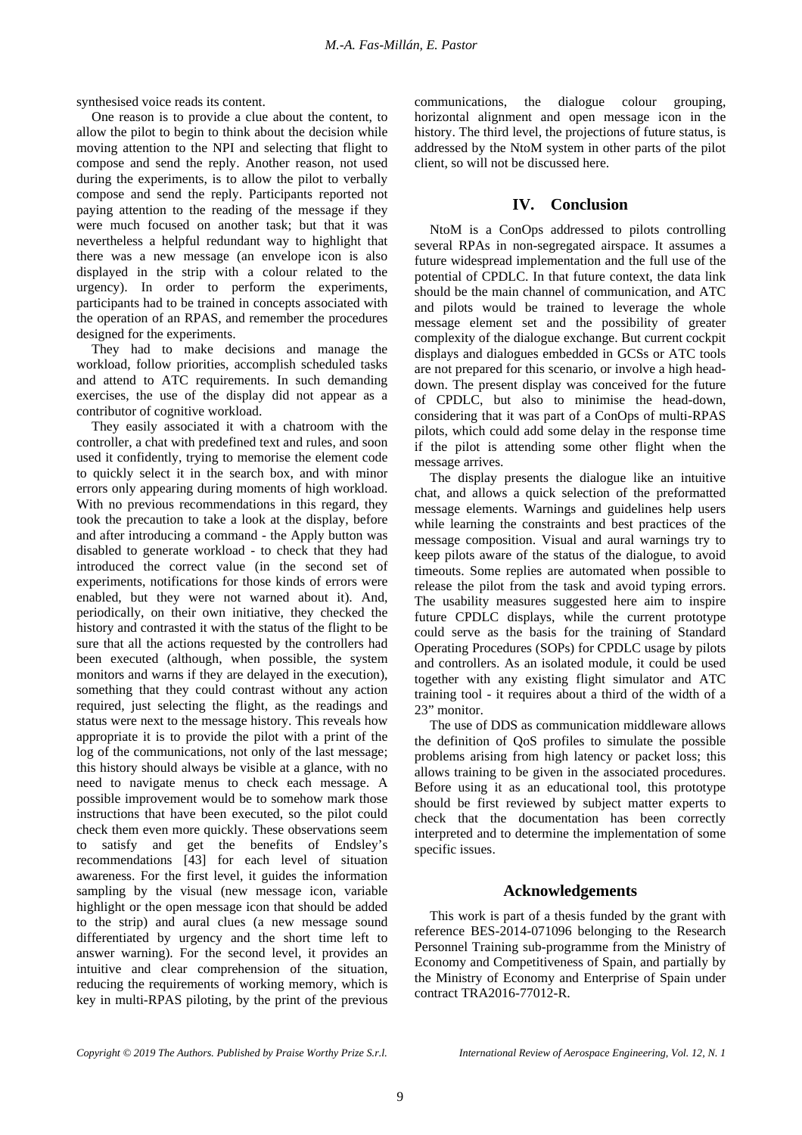synthesised voice reads its content.

One reason is to provide a clue about the content, to allow the pilot to begin to think about the decision while moving attention to the NPI and selecting that flight to compose and send the reply. Another reason, not used during the experiments, is to allow the pilot to verbally compose and send the reply. Participants reported not paying attention to the reading of the message if they were much focused on another task; but that it was nevertheless a helpful redundant way to highlight that there was a new message (an envelope icon is also displayed in the strip with a colour related to the urgency). In order to perform the experiments, participants had to be trained in concepts associated with the operation of an RPAS, and remember the procedures designed for the experiments.

They had to make decisions and manage the workload, follow priorities, accomplish scheduled tasks and attend to ATC requirements. In such demanding exercises, the use of the display did not appear as a contributor of cognitive workload.

They easily associated it with a chatroom with the controller, a chat with predefined text and rules, and soon used it confidently, trying to memorise the element code to quickly select it in the search box, and with minor errors only appearing during moments of high workload. With no previous recommendations in this regard, they took the precaution to take a look at the display, before and after introducing a command - the Apply button was disabled to generate workload - to check that they had introduced the correct value (in the second set of experiments, notifications for those kinds of errors were enabled, but they were not warned about it). And, periodically, on their own initiative, they checked the history and contrasted it with the status of the flight to be sure that all the actions requested by the controllers had been executed (although, when possible, the system monitors and warns if they are delayed in the execution), something that they could contrast without any action required, just selecting the flight, as the readings and status were next to the message history. This reveals how appropriate it is to provide the pilot with a print of the log of the communications, not only of the last message; this history should always be visible at a glance, with no need to navigate menus to check each message. A possible improvement would be to somehow mark those instructions that have been executed, so the pilot could check them even more quickly. These observations seem to satisfy and get the benefits of Endsley's recommendations [43] for each level of situation awareness. For the first level, it guides the information sampling by the visual (new message icon, variable highlight or the open message icon that should be added to the strip) and aural clues (a new message sound differentiated by urgency and the short time left to answer warning). For the second level, it provides an intuitive and clear comprehension of the situation, reducing the requirements of working memory, which is key in multi-RPAS piloting, by the print of the previous

communications, the dialogue colour grouping, horizontal alignment and open message icon in the history. The third level, the projections of future status, is addressed by the NtoM system in other parts of the pilot client, so will not be discussed here.

## **IV. Conclusion**

NtoM is a ConOps addressed to pilots controlling several RPAs in non-segregated airspace. It assumes a future widespread implementation and the full use of the potential of CPDLC. In that future context, the data link should be the main channel of communication, and ATC and pilots would be trained to leverage the whole message element set and the possibility of greater complexity of the dialogue exchange. But current cockpit displays and dialogues embedded in GCSs or ATC tools are not prepared for this scenario, or involve a high headdown. The present display was conceived for the future of CPDLC, but also to minimise the head-down, considering that it was part of a ConOps of multi-RPAS pilots, which could add some delay in the response time if the pilot is attending some other flight when the message arrives.

The display presents the dialogue like an intuitive chat, and allows a quick selection of the preformatted message elements. Warnings and guidelines help users while learning the constraints and best practices of the message composition. Visual and aural warnings try to keep pilots aware of the status of the dialogue, to avoid timeouts. Some replies are automated when possible to release the pilot from the task and avoid typing errors. The usability measures suggested here aim to inspire future CPDLC displays, while the current prototype could serve as the basis for the training of Standard Operating Procedures (SOPs) for CPDLC usage by pilots and controllers. As an isolated module, it could be used together with any existing flight simulator and ATC training tool - it requires about a third of the width of a 23" monitor.

The use of DDS as communication middleware allows the definition of QoS profiles to simulate the possible problems arising from high latency or packet loss; this allows training to be given in the associated procedures. Before using it as an educational tool, this prototype should be first reviewed by subject matter experts to check that the documentation has been correctly interpreted and to determine the implementation of some specific issues.

### **Acknowledgements**

This work is part of a thesis funded by the grant with reference BES-2014-071096 belonging to the Research Personnel Training sub-programme from the Ministry of Economy and Competitiveness of Spain, and partially by the Ministry of Economy and Enterprise of Spain under contract TRA2016-77012-R.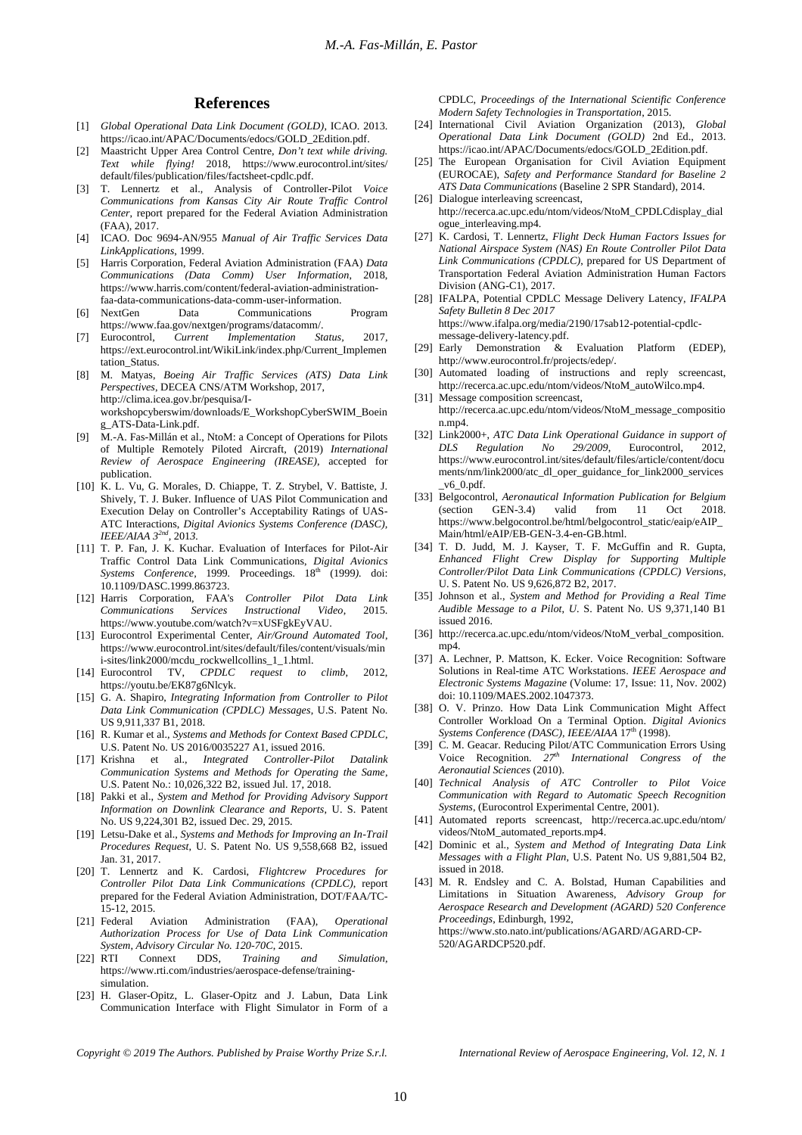#### **References**

- [1] *Global Operational Data Link Document (GOLD)*, ICAO. 2013. [https://icao.int/APAC/Documents/edocs/GOLD\\_2Edition.pdf.](https://icao.int/APAC/Documents/edocs/GOLD_2Edition.pdf.)
- [2] Maastricht Upper Area Control Centre, *Don't text while driving. Text while flying!* 2018, <https://www.eurocontrol.int/sites/> default/files/publication/files/factsheet-cpdlc.pdf.
- [3] T. Lennertz et al., Analysis of Controller-Pilot *Voice Communications from Kansas City Air Route Traffic Control Center*, report prepared for the Federal Aviation Administration (FAA), 2017.
- [4] ICAO. Doc 9694-AN/955 *Manual of Air Traffic Services Data LinkApplications*, 1999.
- [5] Harris Corporation, Federal Aviation Administration (FAA) *Data Communications (Data Comm) User Information*, 2018, [https://www.harris.com/content/federal-aviation-administration](https://www.harris.com/content/federal-aviation-administration-)faa-data-communications-data-comm-user-information.
- [6] NextGen Data Communications Program <https://www.faa.gov/nextgen/programs/datacomm/.>
- [7] Eurocontrol, *Current Implementation Status,* 2017*,* [https://ext.eurocontrol.int/WikiLink/index.php/Current\\_Implemen](https://ext.eurocontrol.int/WikiLink/index.php/Current_Implemen) tation\_Status.
- [8] M. Matyas, *Boeing Air Traffic Services (ATS) Data Link Perspectives*, DECEA CNS/ATM Workshop, 2017, [http://clima.icea.gov.br/pesquisa/I](http://clima.icea.gov.br/pesquisa/I-)workshopcyberswim/downloads/E\_WorkshopCyberSWIM\_Boein g\_ATS-Data-Link.pdf.
- [9] M.-A. Fas-Millán et al., NtoM: a Concept of Operations for Pilots of Multiple Remotely Piloted Aircraft, (2019) *International Review of Aerospace Engineering (IREASE)*, accepted for publication.
- [10] K. L. Vu, G. Morales, D. Chiappe, T. Z. Strybel, V. Battiste, J. Shively, T. J. Buker. Influence of UAS Pilot Communication and Execution Delay on Controller's Acceptability Ratings of UAS-ATC Interactions, *Digital Avionics Systems Conference (DASC), IEEE/AIAA 32nd ,* 201*3.*
- [11] T. P. Fan, J. K. Kuchar. Evaluation of Interfaces for Pilot-Air Traffic Control Data Link Communications, *Digital Avionics Systems Conference,* 1999. Proceedings.  $18<sup>th</sup>$  (1999). doi: 10.1109/DASC.1999.863723.
- [12] Harris Corporation, FAA's *Controller Pilot Data Link Communications Services Instructional Video*, 2015. <https://www.youtube.com/watch?v=xUSFgkEyVAU.>
- [13] Eurocontrol Experimental Center, *Air/Ground Automated Tool*, <https://www.eurocontrol.int/sites/default/files/content/visuals/min> i-sites/link2000/mcdu\_rockwellcollins\_1\_1.html.
- [14] Eurocontrol TV, *CPDLC request to climb*, 2012, <https://youtu.be/EK87g6Nlcyk.>
- [15] G. A. Shapiro, *Integrating Information from Controller to Pilot Data Link Communication (CPDLC) Messages*, U.S. Patent No. US 9,911,337 B1, 2018.
- [16] R. Kumar et al., *Systems and Methods for Context Based CPDLC*, U.S. Patent No. US 2016/0035227 A1, issued 2016.
- [17] Krishna et al., *Integrated Controller-Pilot Datalink Communication Systems and Methods for Operating the Same*, U.S. Patent No.: 10,026,322 B2, issued Jul. 17, 2018.
- [18] Pakki et al., *System and Method for Providing Advisory Support Information on Downlink Clearance and Reports*, U. S. Patent No. US 9,224,301 B2, issued Dec. 29, 2015.
- [19] Letsu-Dake et al., *Systems and Methods for Improving an In-Trail Procedures Request*, U. S. Patent No. US 9,558,668 B2, issued Jan. 31, 2017.
- [20] T. Lennertz and K. Cardosi, *Flightcrew Procedures for Controller Pilot Data Link Communications (CPDLC)*, report prepared for the Federal Aviation Administration, DOT/FAA/TC-15-12, 2015.
- [21] Federal Aviation Administration (FAA), *Operational Authorization Process for Use of Data Link Communication System*, *Advisory Circular No. 120-70C*, 2015.
- $I$ Connext DDS, *Training and Simulation*, [https://www.rti.com/industries/aerospace-defense/training](https://www.rti.com/industries/aerospace-defense/training-)simulation.
- [23] H. Glaser-Opitz, L. Glaser-Opitz and J. Labun, Data Link Communication Interface with Flight Simulator in Form of a

CPDLC, *Proceedings of the International Scientific Conference Modern Safety Technologies in Transportation*, 2015.

- [24] International Civil Aviation Organization (2013), *Global Operational Data Link Document (GOLD)* 2nd Ed., 2013. [https://icao.int/APAC/Documents/edocs/GOLD\\_2Edition.pdf.](https://icao.int/APAC/Documents/edocs/GOLD_2Edition.pdf.)
- [25] The European Organisation for Civil Aviation Equipment (EUROCAE), *Safety and Performance Standard for Baseline 2 ATS Data Communications* (Baseline 2 SPR Standard), 2014.
- [26] Dialogue interleaving screencast, [http://recerca.ac.upc.edu/ntom/videos/NtoM\\_CPDLCdisplay\\_dial](http://recerca.ac.upc.edu/ntom/videos/NtoM_CPDLCdisplay_dial) ogue\_interleaving.mp4.
- [27] K. Cardosi, T. Lennertz, *Flight Deck Human Factors Issues for National Airspace System (NAS) En Route Controller Pilot Data Link Communications (CPDLC)*, prepared for US Department of Transportation Federal Aviation Administration Human Factors Division (ANG-C1), 2017.
- [28] IFALPA, Potential CPDLC Message Delivery Latency, *IFALPA Safety Bulletin 8 Dec 2017* [https://www.ifalpa.org/media/2190/17sab12-potential-cpdlc](https://www.ifalpa.org/media/2190/17sab12-potential-cpdlc-)message-delivery-latency.pdf.
- [29] Early Demonstration & Evaluation Platform (EDEP), <http://www.eurocontrol.fr/projects/edep/.>
- [30] Automated loading of instructions and reply screencast, [http://recerca.ac.upc.edu/ntom/videos/NtoM\\_autoWilco.mp4.](http://recerca.ac.upc.edu/ntom/videos/NtoM_autoWilco.mp4.) [31] Message composition screencast,
- [http://recerca.ac.upc.edu/ntom/videos/NtoM\\_message\\_compositio](http://recerca.ac.upc.edu/ntom/videos/NtoM_message_compositio) n.mp4.
- [32] Link2000+, *ATC Data Link Operational Guidance in support of DLS Regulation No 29/2009*, Eurocontrol, 2012, <https://www.eurocontrol.int/sites/default/files/article/content/docu> ments/nm/link2000/atc\_dl\_oper\_guidance\_for\_link2000\_services \_v6\_0.pdf.
- [33] Belgocontrol, *Aeronautical Information Publication for Belgium* (section GEN-3.4) valid from 11 Oct 2018. [https://www.belgocontrol.be/html/belgocontrol\\_static/eaip/eAIP\\_](https://www.belgocontrol.be/html/belgocontrol_static/eaip/eAIP_) Main/html/eAIP/EB-GEN-3.4-en-GB.html.
- [34] T. D. Judd, M. J. Kayser, T. F. McGuffin and R. Gupta, *Enhanced Flight Crew Display for Supporting Multiple Controller/Pilot Data Link Communications (CPDLC) Versions*, U. S. Patent No. US 9,626,872 B2, 2017.
- [35] Johnson et al., *System and Method for Providing a Real Time Audible Message to a Pilot*, *U*. S. Patent No. US 9,371,140 B1 issued 2016.
- [36] [http://recerca.ac.upc.edu/ntom/videos/NtoM\\_verbal\\_composition.](http://recerca.ac.upc.edu/ntom/videos/NtoM_verbal_composition.) mp4.
- [37] A. Lechner, P. Mattson, K. Ecker. Voice Recognition: Software Solutions in Real-time ATC Workstations. *IEEE Aerospace and Electronic Systems Magazine* (Volume: 17, Issue: 11, Nov. 2002) doi: 10.1109/MAES.2002.1047373.
- [38] O. V. Prinzo. How Data Link Communication Might Affect Controller Workload On a Terminal Option. *Digital Avionics*  Systems Conference (DASC), IEEE/AIAA<sup>17th</sup> (1998).
- [39] C. M. Geacar. Reducing Pilot/ATC Communication Errors Using Voice Recognition. *27th International Congress of the Aeronautial Sciences* (2010).
- [40] *Technical Analysis of ATC Controller to Pilot Voice Communication with Regard to Automatic Speech Recognition Systems*, (Eurocontrol Experimental Centre, 2001).
- [41] Automated reports screencast, <http://recerca.ac.upc.edu/ntom/> videos/NtoM\_automated\_reports.mp4.
- [42] Dominic et al., *System and Method of Integrating Data Link Messages with a Flight Plan*, U.S. Patent No. US 9,881,504 B2, issued in 2018.
- [43] M. R. Endsley and C. A. Bolstad, Human Capabilities and Limitations in Situation Awareness, *Advisory Group for Aerospace Research and Development (AGARD) 520 Conference Proceedings*, Edinburgh, 1992, <https://www.sto.nato.int/publications/AGARD/AGARD-CP->520/AGARDCP520.pdf.

*Copyright © 2019 The Authors. Published by Praise Worthy Prize S.r.l. International Review of Aerospace Engineering, Vol. 12, N. 1*